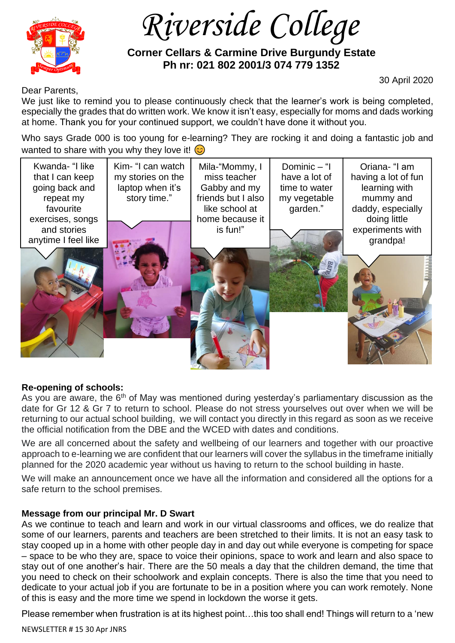

 *Riverside College*

 **Corner Cellars & Carmine Drive Burgundy Estate Ph nr: 021 802 2001/3 074 779 1352**

30 April 2020

Dear Parents,

We just like to remind you to please continuously check that the learner's work is being completed, especially the grades that do written work. We know it isn't easy, especially for moms and dads working at home. Thank you for your continued support, we couldn't have done it without you.

Who says Grade 000 is too young for e-learning? They are rocking it and doing a fantastic job and wanted to share with you why they love it!

| Kwanda- "I like<br>that I can keep<br>going back and<br>repeat my<br>favourite | Kim- "I can watch<br>my stories on the<br>laptop when it's<br>story time." | Mila-"Mommy, I<br>miss teacher<br>Gabby and my<br>friends but I also<br>like school at | Dominic $-$ "I<br>have a lot of<br>time to water<br>my vegetable<br>garden." | Oriana- "I am<br>having a lot of fun<br>learning with<br>mummy and<br>daddy, especially |
|--------------------------------------------------------------------------------|----------------------------------------------------------------------------|----------------------------------------------------------------------------------------|------------------------------------------------------------------------------|-----------------------------------------------------------------------------------------|
| exercises, songs                                                               |                                                                            | home because it                                                                        |                                                                              | doing little                                                                            |
| and stories<br>anytime I feel like                                             |                                                                            | is fun!"                                                                               |                                                                              | experiments with<br>grandpa!                                                            |
|                                                                                |                                                                            |                                                                                        |                                                                              |                                                                                         |
|                                                                                |                                                                            |                                                                                        |                                                                              |                                                                                         |

## **Re-opening of schools:**

As you are aware, the 6<sup>th</sup> of May was mentioned during yesterday's parliamentary discussion as the date for Gr 12 & Gr 7 to return to school. Please do not stress yourselves out over when we will be returning to our actual school building, we will contact you directly in this regard as soon as we receive the official notification from the DBE and the WCED with dates and conditions.

We are all concerned about the safety and wellbeing of our learners and together with our proactive approach to e-learning we are confident that our learners will cover the syllabus in the timeframe initially planned for the 2020 academic year without us having to return to the school building in haste.

We will make an announcement once we have all the information and considered all the options for a safe return to the school premises.

## **Message from our principal Mr. D Swart**

As we continue to teach and learn and work in our virtual classrooms and offices, we do realize that some of our learners, parents and teachers are been stretched to their limits. It is not an easy task to stay cooped up in a home with other people day in and day out while everyone is competing for space – space to be who they are, space to voice their opinions, space to work and learn and also space to stay out of one another's hair. There are the 50 meals a day that the children demand, the time that you need to check on their schoolwork and explain concepts. There is also the time that you need to dedicate to your actual job if you are fortunate to be in a position where you can work remotely. None of this is easy and the more time we spend in lockdown the worse it gets.

Please remember when frustration is at its highest point…this too shall end! Things will return to a 'new

NEWSLETTER # 15 30 Apr JNRS